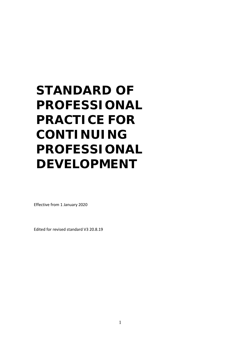# **STANDARD OF PROFESSIONAL PRACTICE FOR CONTINUING PROFESSIONAL DEVELOPMENT**

Effective from 1 January 2020

Edited for revised standard V3 20.8.19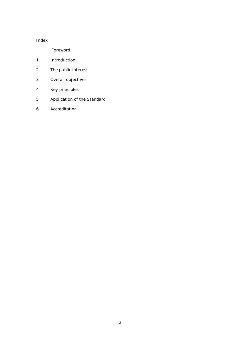## Index

Foreword

- Introduction
- The public interest
- Overall objectives
- Key principles
- Application of the Standard
- Accreditation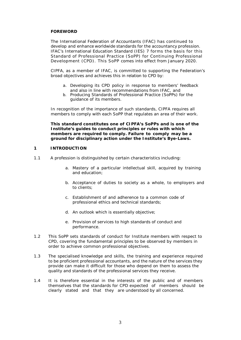#### **FOREWORD**

The International Federation of Accountants (IFAC) has continued to develop and enhance worldwide standards for the accountancy profession. IFAC's International Education Standard (IES) 7 forms the basis for this Standard of Professional Practice (SoPP) for Continuing Professional Development (CPD). This SoPP comes into effect from January 2020.

CIPFA, as a member of IFAC, is committed to supporting the Federation's broad objectives and achieves this in relation to CPD by:

- a. Developing its CPD policy in response to members' feedback and also in line with recommendations from IFAC, and
- b. Producing Standards of Professional Practice (SoPPs) for the guidance of its members.

In recognition of the importance of such standards, CIPFA requires all members to comply with each SoPP that regulates an area of their work.

**This standard constitutes one of CIPFA's SoPPs and is one of the Institute's guides to conduct principles or rules with which members are required to comply. Failure to comply may be a ground for disciplinary action under the Institute's Bye-Laws.** 

#### **1 INTRODUCTION**

- 1.1 A profession is distinguished by certain characteristics including:
	- a. Mastery of a particular intellectual skill, acquired by training and education;
	- b. Acceptance of duties to society as a whole, to employers and to clients;
	- c. Establishment of and adherence to a common code of professional ethics and technical standards;
	- d. An outlook which is essentially objective;
	- e. Provision of services to high standards of conduct and performance.
- 1.2 This SoPP sets standards of conduct for Institute members with respect to CPD, covering the fundamental principles to be observed by members in order to achieve common professional objectives.
- 1.3 The specialised knowledge and skills, the training and experience required to be proficient professional accountants, and the nature of the services they provide can make it difficult for those who depend on them to assess the quality and standards of the professional services they receive.
- 1.4 It is therefore essential in the interests of the public and of members themselves that the standards for CPD expected of members should be clearly stated and that they are understood by all concerned.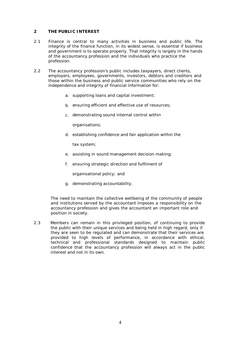#### **2 THE PUBLIC INTEREST**

- 2.1 Finance is central to many activities in business and public life. The integrity of the finance function, in its widest sense, is essential if business and government is to operate properly. That integrity is largely in the hands of the accountancy profession and the individuals who practice the profession.
- 2.2 The accountancy profession's public includes taxpayers, direct clients, employers, employees, governments, investors, debtors and creditors and those within the business and public service communities who rely on the independence and integrity of financial information for:
	- a. supporting loans and capital investment;
	- b. ensuring efficient and effective use of resources;
	- c. demonstrating sound internal control within

organisations;

d. establishing confidence and fair application within the

tax system;

- e. assisting in sound management decision making;
- f. ensuring strategic direction and fulfilment of

organisational policy; and

g. demonstrating accountability.

The need to maintain the collective wellbeing of the community of people and institutions served by the accountant imposes a responsibility on the accountancy profession and gives the accountant an important role and position in society.

2.3 Members can remain in this privileged position, of continuing to provide the public with their unique services and being held in high regard, only if they are seen to be regulated and can demonstrate that their services are provided to high levels of performance, in accordance with ethical, technical and professional standards designed to maintain public confidence that the accountancy profession will always act in the public interest and not in its own.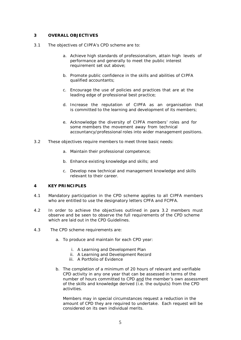#### **3 OVERALL OBJECTIVES**

- 3.1 The objectives of CIPFA's CPD scheme are to:
	- a. Achieve high standards of professionalism, attain high levels of performance and generally to meet the public interest requirement set out above;
	- b. Promote public confidence in the skills and abilities of CIPFA qualified accountants;
	- c. Encourage the use of policies and practices that are at the leading edge of professional best practice;
	- d. Increase the reputation of CIPFA as an organisation that is committed to the learning and development of its members;
	- e. Acknowledge the diversity of CIPFA members' roles and for some members the movement away from technical accountancy/professional roles into wider management positions.
- 3.2 These objectives require members to meet three basic needs:
	- a. Maintain their professional competence;
	- b. Enhance existing knowledge and skills; and
	- c. Develop new technical and management knowledge and skills relevant to their career.

### **4 KEY PRINCIPLES**

- 4.1 Mandatory participation in the CPD scheme applies to all CIPFA members who are entitled to use the designatory letters CPFA and FCPFA.
- 4.2 In order to achieve the objectives outlined in para 3.2 members must observe and be seen to observe the full requirements of the CPD scheme which are laid out in the CPD Guidelines.
- 4.3 The CPD scheme requirements are:
	- a. To produce and maintain for each CPD year:
		- i. A Learning and Development Plan
		- ii. A Learning and Development Record
		- iii. A Portfolio of Evidence
	- b. The completion of a minimum of 20 hours of relevant and verifiable CPD activity in any one year that can be assessed in terms of the number of hours committed to CPD and the member's own assessment of the skills and knowledge derived (i.e. the outputs) from the CPD activities.

Members may in special circumstances request a reduction in the amount of CPD they are required to undertake. Each request will be considered on its own individual merits.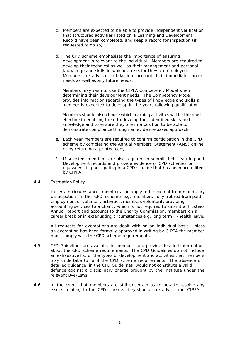- c. Members are expected to be able to provide independent verification that structured activities listed on a Learning and Development Record have been completed, and keep a record for inspection (if requested to do so).
- d. The CPD scheme emphasises the importance of ensuring development is relevant to the individual. Members are required to develop their technical as well as their management and personal knowledge and skills in whichever sector they are employed. Members are advised to take into account their immediate career needs as well as any future needs.

Members may wish to use the CIPFA Competency Model when determining their development needs. The Competency Model provides information regarding the types of knowledge and skills a member is expected to develop in the years following qualification.

Members should also choose which learning activities will be the most effective in enabling them to develop their identified skills and knowledge and to ensure they are in a position to be able to demonstrate compliance through an evidence-based approach.

- e. Each year members are required to confirm participation in the CPD scheme by completing the Annual Members' Statement (AMS) online, or by returning a printed copy.
- f. If selected, members are also required to submit their Learning and Development records and provide evidence of CPD activities or equivalent if participating in a CPD scheme that has been accredited by CIPFA.

#### 4.4 Exemption Policy

In certain circumstances members can apply to be exempt from mandatory participation in the CPD scheme e.g. members fully retired from paid employment or voluntary activities, members voluntarily providing accounting services to a charity which is not required to submit a Trustees Annual Report and accounts to the Charity Commission, members on a career break or in extenuating circumstances e.g. long term ill-health leave.

All requests for exemptions are dealt with on an individual basis. Unless an exemption has been formally approved in writing by CIPFA the member must comply with the CPD scheme requirements.

- 4.5 CPD Guidelines are available to members and provide detailed information about the CPD scheme requirements. The CPD Guidelines do not include an exhaustive list of the types of development and activities that members may undertake to fulfil the CPD scheme requirements. The absence of detailed guidance in the CPD Guidelines would not constitute a valid defence against a disciplinary charge brought by the Institute under the relevant Bye-Laws.
- 4.6 In the event that members are still uncertain as to how to resolve any issues relating to the CPD scheme, they should seek advice from CIPFA.